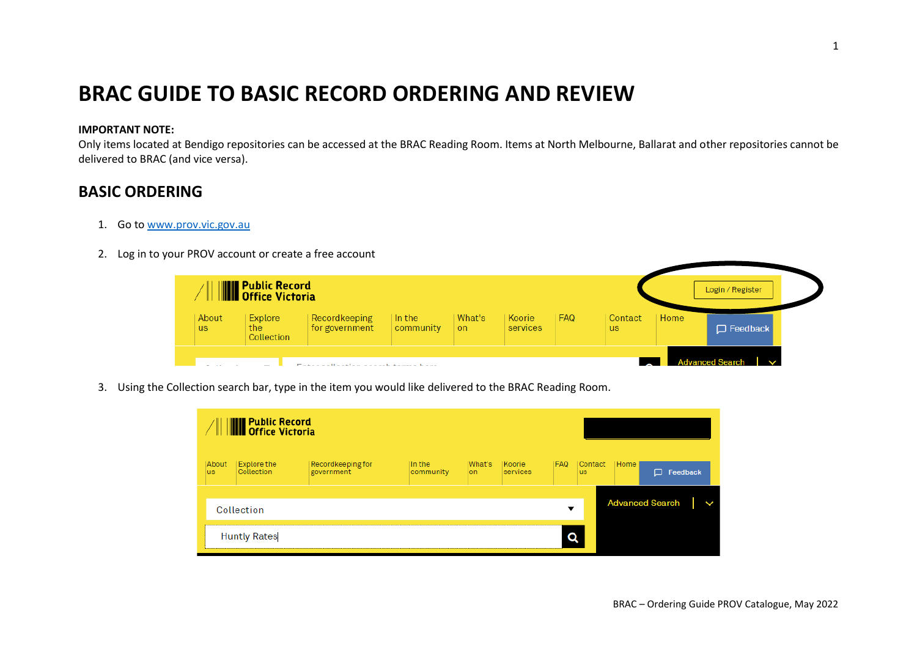## **BRAC GUIDE TO BASIC RECORD ORDERING AND REVIEW**

## **IMPORTANT NOTE:**

Only items located at Bendigo repositories can be accessed at the BRAC Reading Room. Items at North Melbourne, Ballarat and other repositories cannot be delivered to BRAC (and vice versa).

## **BASIC ORDERING**

- 1. Go to [www.prov.vic.gov.au](http://www.prov.vic.gov.au/)
- 2. Log in to your PROV account or create a free account

|                    | <b>WE</b> Public Record       |                                                                  |                     |                     |                    |            |                      |      | Login / Register       |
|--------------------|-------------------------------|------------------------------------------------------------------|---------------------|---------------------|--------------------|------------|----------------------|------|------------------------|
| About<br><b>us</b> | Explore<br>the.<br>Collection | Recordkeeping<br>for government                                  | In the<br>community | What's<br><b>on</b> | Koorie<br>services | <b>FAQ</b> | Contact<br><b>us</b> | Home | $\Box$ Feedback        |
|                    |                               | Products with the west way to a straight dependence of the stage |                     |                     |                    |            |                      |      | <b>Advanced Search</b> |

3. Using the Collection search bar, type in the item you would like delivered to the BRAC Reading Room.

| <b>WE</b> Public Record<br>Moffice Victoria |                                  |                                 |                     |                |                    |                          |                       |                        |          |  |
|---------------------------------------------|----------------------------------|---------------------------------|---------------------|----------------|--------------------|--------------------------|-----------------------|------------------------|----------|--|
| About<br>lus                                | <b>Explore the</b><br>Collection | Recordkeeping for<br>government | In the<br>community | What's<br>lon. | Koorie<br>services | I FAQ.                   | Contact <br><b>us</b> | Home                   | Feedback |  |
|                                             | Collection                       |                                 |                     |                |                    | $\overline{\phantom{a}}$ |                       | <b>Advanced Search</b> |          |  |
|                                             | <b>Huntly Rates</b>              |                                 |                     |                |                    |                          |                       |                        |          |  |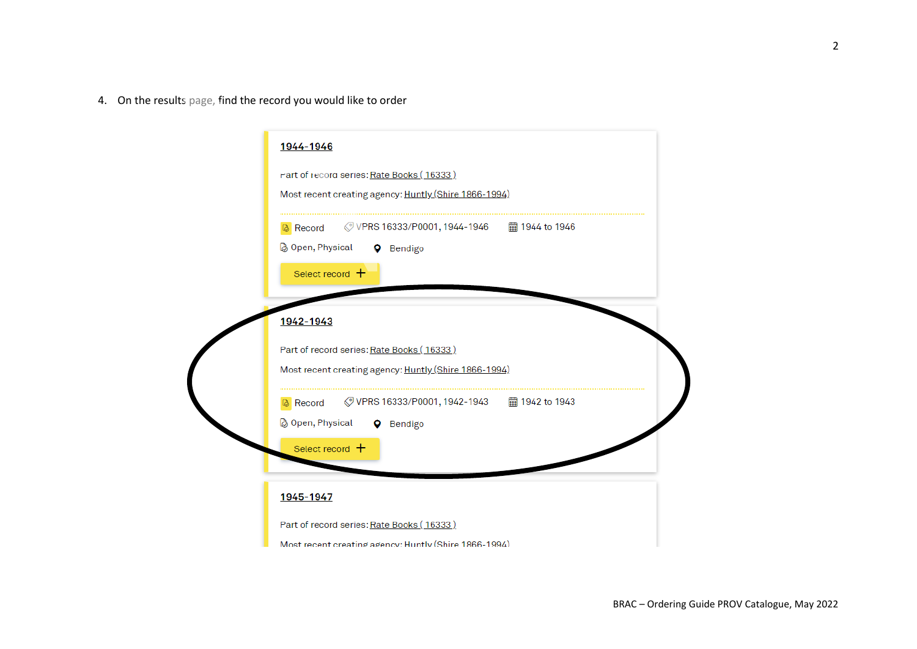4. On the results page, find the record you would like to order

| 1944-1946                                                                                                             |
|-----------------------------------------------------------------------------------------------------------------------|
| rart of record series: Rate Books (16333)<br>Most recent creating agency: Huntly (Shire 1866-1994)                    |
| <b>&amp;</b> Record<br><b>&amp; Open, Physical</b><br><b>Q</b> Bendigo<br>Select record $+$                           |
| 1942-1943                                                                                                             |
| Part of record series: Rate Books (16333)<br>Most recent creating agency: Huntly (Shire 1866-1994)                    |
| ◇ VPRS 16333/P0001, 1942-1943   ■ 1942 to 1943<br>Record<br>◎ Open, Physical<br><b>Q</b> Bendigo<br>Select record $+$ |
| 1945-1947                                                                                                             |
| Part of record series: Rate Books (16333)                                                                             |
| Most recent creating agency: Huntly (Shire 1866-1994)                                                                 |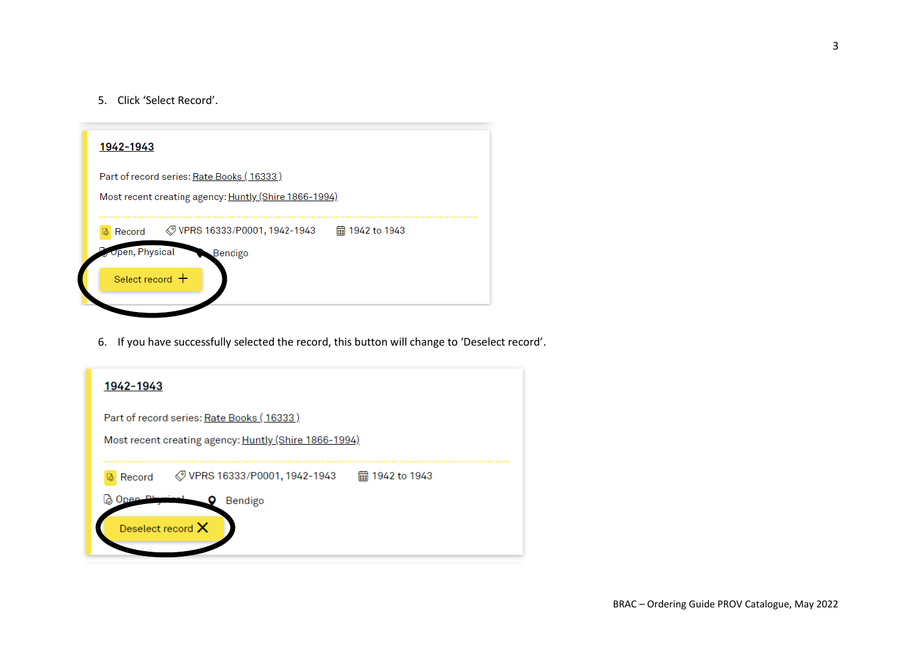5. Click 'Select Record'.

| 1942-1943                                                                                                      |                   |
|----------------------------------------------------------------------------------------------------------------|-------------------|
| Part of record series: Rate Books (16333)<br>Most recent creating agency: Huntly (Shire 1866-1994)             |                   |
| <b><i>◯</i> VPRS 16333/P0001, 1942-1943</b><br>Record<br><b>Open, Physical</b><br>Bendigo<br>Select record $+$ | liii 1942 to 1943 |
|                                                                                                                |                   |

6. If you have successfully selected the record, this button will change to 'Deselect record'.

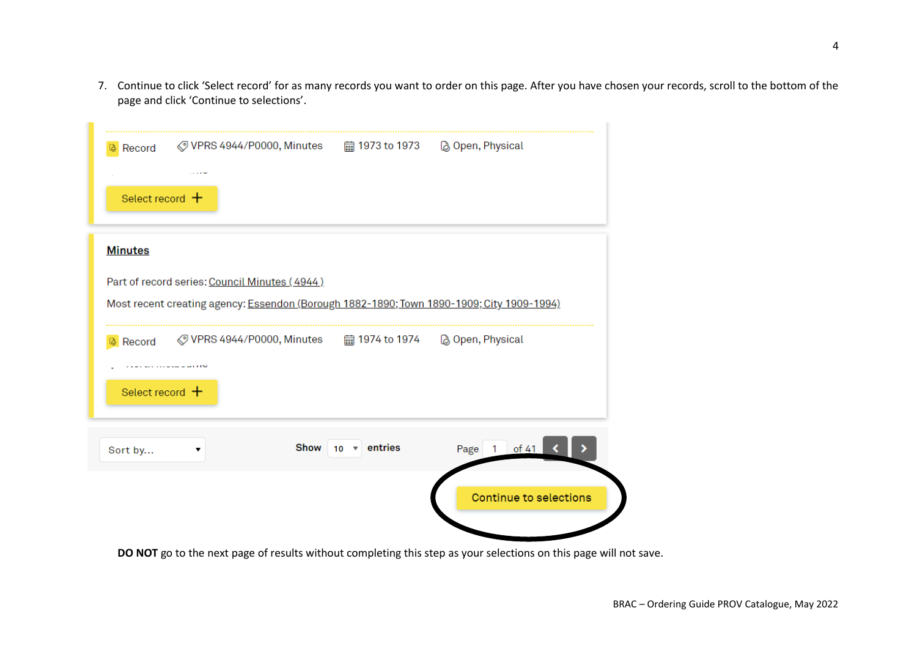7. Continue to click 'Select record' for as many records you want to order on this page. After you have chosen your records, scroll to the bottom of the page and click 'Continue to selections'.

÷

| <b>&amp;</b> Record | ◯ VPRS 4944/P0000, Minutes – 的 1973 to 1973 – 及 Open, Physical                            |                                    |                               |
|---------------------|-------------------------------------------------------------------------------------------|------------------------------------|-------------------------------|
| Select record $+$   |                                                                                           |                                    |                               |
| <b>Minutes</b>      |                                                                                           |                                    |                               |
|                     | Part of record series: Council Minutes (4944)                                             |                                    |                               |
|                     | Most recent creating agency: Essendon (Borough 1882-1890; Town 1890-1909; City 1909-1994) |                                    |                               |
| <b>&amp;</b> Record | ◯ VPRS 4944/P0000, Minutes ■ 1974 to 1974 ■ 20 Open, Physical                             |                                    |                               |
|                     |                                                                                           |                                    |                               |
| Select record $+$   |                                                                                           |                                    |                               |
| Sort by             | ▼                                                                                         | $10 \times$ entries<br><b>Show</b> | Page 1 of 41                  |
|                     |                                                                                           |                                    | <b>Continue to selections</b> |
|                     |                                                                                           |                                    |                               |

**DO NOT** go to the next page of results without completing this step as your selections on this page will not save.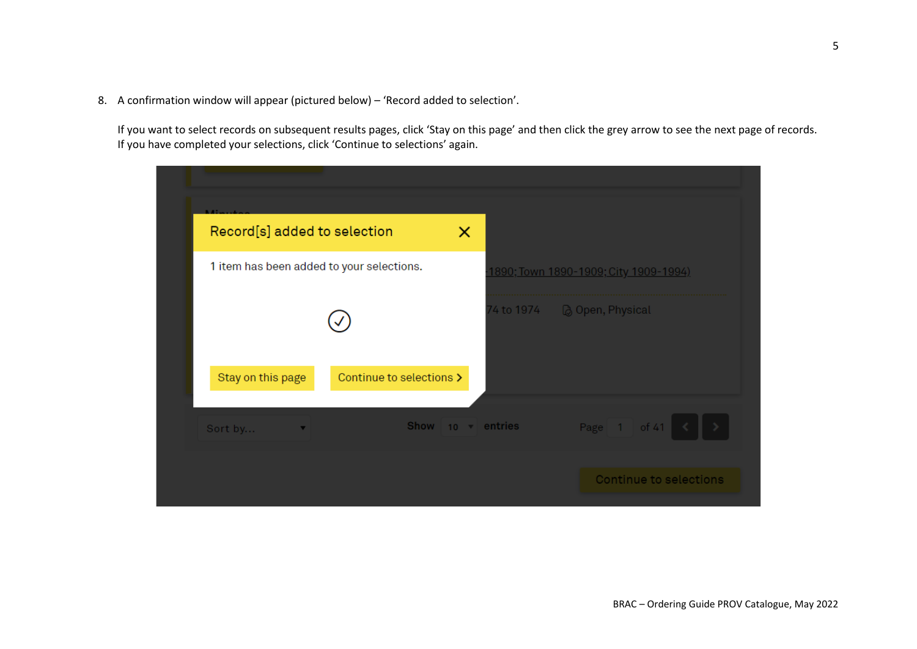8. A confirmation window will appear (pictured below) – 'Record added to selection'.

If you want to select records on subsequent results pages, click 'Stay on this page' and then click the grey arrow to see the next page of records. If you have completed your selections, click 'Continue to selections' again.

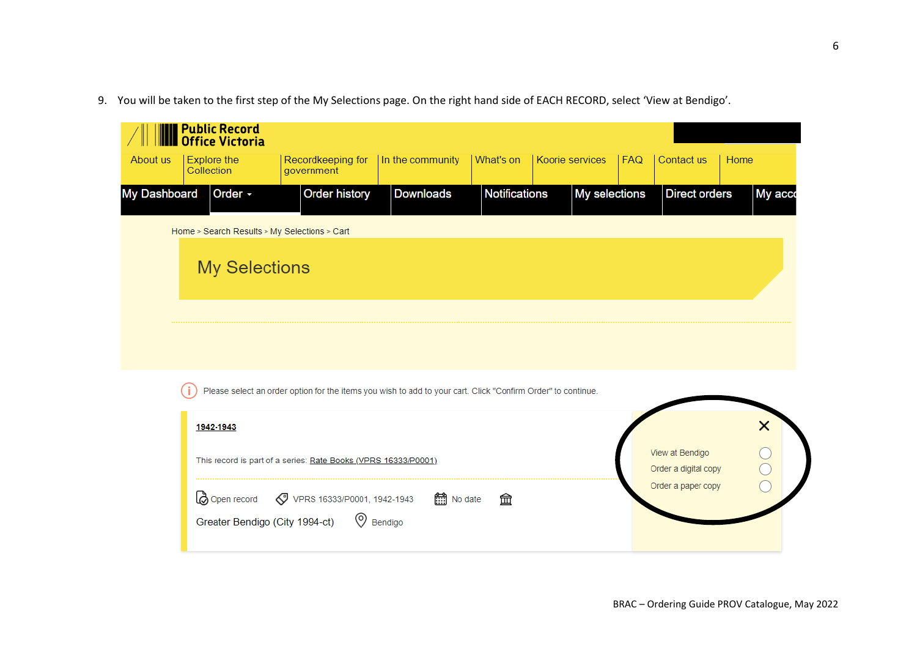9. You will be taken to the first step of the My Selections page. On the right hand side of EACH RECORD, select 'View at Bendigo'.

| About us     | <b>Public Record<br/>Office Victoria</b><br><b>Explore the</b><br>Collection    | Recordkeeping for<br>government                                                                                                                                                                               | In the community             | What's on            | Koorie services | <b>FAQ</b> | Contact us                                                    | Home    |
|--------------|---------------------------------------------------------------------------------|---------------------------------------------------------------------------------------------------------------------------------------------------------------------------------------------------------------|------------------------------|----------------------|-----------------|------------|---------------------------------------------------------------|---------|
| My Dashboard | Order -<br>Home > Search Results > My Selections > Cart<br><b>My Selections</b> | <b>Order history</b>                                                                                                                                                                                          | <b>Downloads</b>             | <b>Notifications</b> | My selections   |            | <b>Direct orders</b>                                          | My acco |
|              | 1942-1943<br>Open record<br>Greater Bendigo (City 1994-ct)                      | Please select an order option for the items you wish to add to your cart. Click "Confirm Order" to continue.<br>This record is part of a series: Rate Books (VPRS 16333/P0001)<br>VPRS 16333/P0001, 1942-1943 | <b>nd</b> No date<br>Bendigo | 血                    |                 |            | View at Bendigo<br>Order a digital copy<br>Order a paper copy | ×       |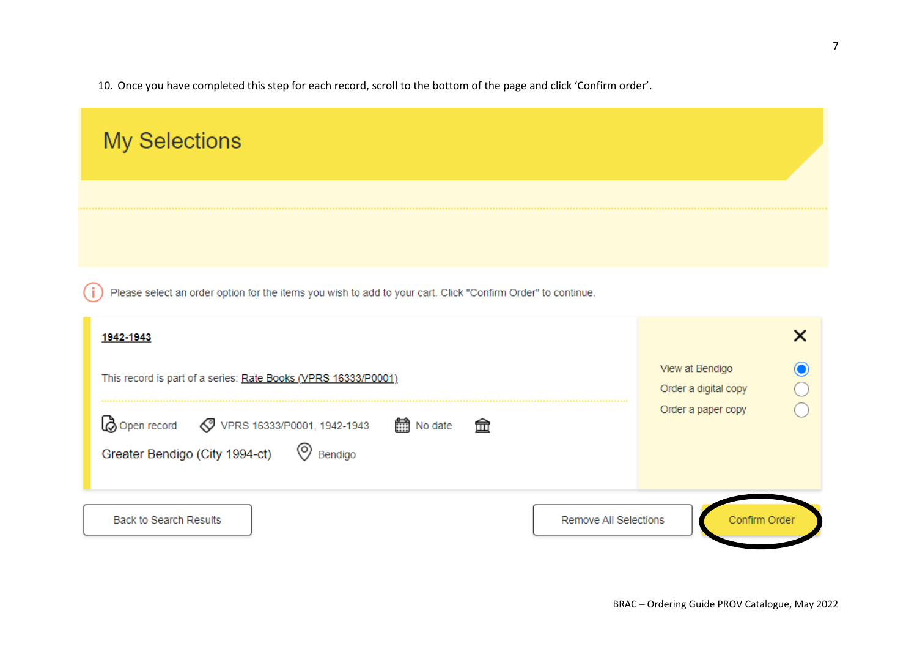10. Once you have completed this step for each record, scroll to the bottom of the page and click 'Confirm order'.

| <b>My Selections</b>                                                                                                                                                                         |                                                                    |
|----------------------------------------------------------------------------------------------------------------------------------------------------------------------------------------------|--------------------------------------------------------------------|
|                                                                                                                                                                                              |                                                                    |
| Please select an order option for the items you wish to add to your cart. Click "Confirm Order" to continue.                                                                                 |                                                                    |
| 1942-1943<br>This record is part of a series: Rate Books (VPRS 16333/P0001)<br>Lo Open record  vPRS 16333/P0001, 1942-1943<br>□ No date<br>一血<br>Greater Bendigo (City 1994-ct)<br>© Bendigo | ×<br>View at Bendigo<br>Order a digital copy<br>Order a paper copy |
| <b>Back to Search Results</b><br><b>Remove All Selections</b>                                                                                                                                | Confirm Order                                                      |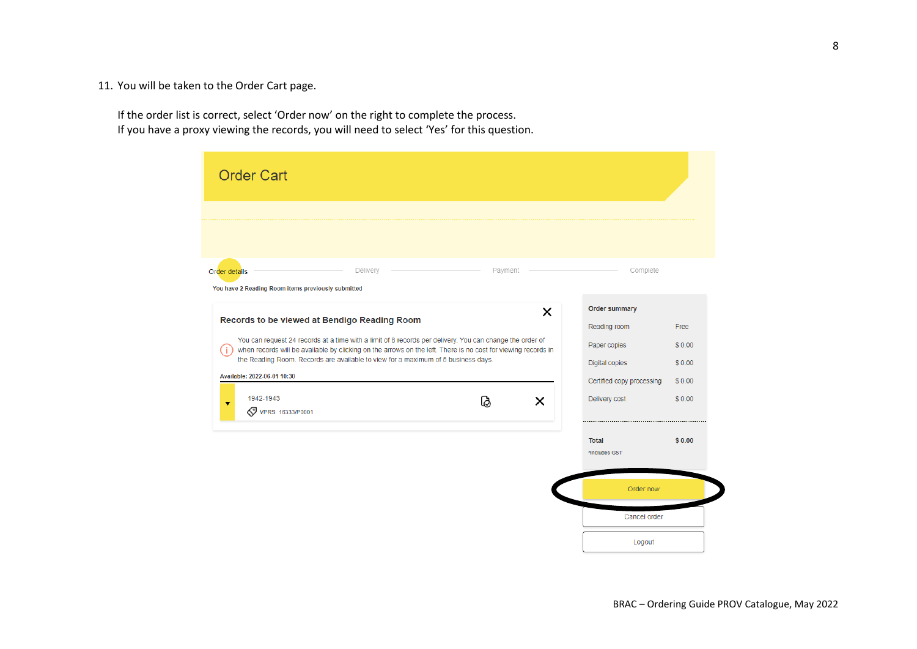11. You will be taken to the Order Cart page.

If the order list is correct, select 'Order now' on the right to complete the process. If you have a proxy viewing the records, you will need to select 'Yes' for this question.

| <b>Order Cart</b>                                                                                                                                                                                                                                                                                                                                                                                                                     |                     |                                                                                                                      |                                              |
|---------------------------------------------------------------------------------------------------------------------------------------------------------------------------------------------------------------------------------------------------------------------------------------------------------------------------------------------------------------------------------------------------------------------------------------|---------------------|----------------------------------------------------------------------------------------------------------------------|----------------------------------------------|
|                                                                                                                                                                                                                                                                                                                                                                                                                                       |                     |                                                                                                                      |                                              |
| Delivery<br>Order details<br>You have 2 Reading Room items previously submitted                                                                                                                                                                                                                                                                                                                                                       | Payment             | Complete                                                                                                             |                                              |
| Records to be viewed at Bendigo Reading Room<br>You can request 24 records at a time with a limit of 8 records per delivery. You can change the order of<br>when records will be available by clicking on the arrows on the left. There is no cost for viewing records in<br>the Reading Room. Records are available to view for a maximum of 5 business days.<br>Available: 2022-06-01 10:30<br>1942-1943<br><b>VPRS 16333/P0001</b> | X<br>$\times$<br>යි | <b>Order summary</b><br>Reading room<br>Paper copies<br>Digital copies<br>Certified copy processing<br>Delivery cost | Free<br>\$0.00<br>\$0.00<br>\$0.00<br>\$0.00 |
|                                                                                                                                                                                                                                                                                                                                                                                                                                       |                     | <b>Total</b><br>*Includes GST                                                                                        | \$0.00                                       |
|                                                                                                                                                                                                                                                                                                                                                                                                                                       |                     | Order now                                                                                                            |                                              |
|                                                                                                                                                                                                                                                                                                                                                                                                                                       |                     | Cancel order                                                                                                         |                                              |
|                                                                                                                                                                                                                                                                                                                                                                                                                                       |                     | Logout                                                                                                               |                                              |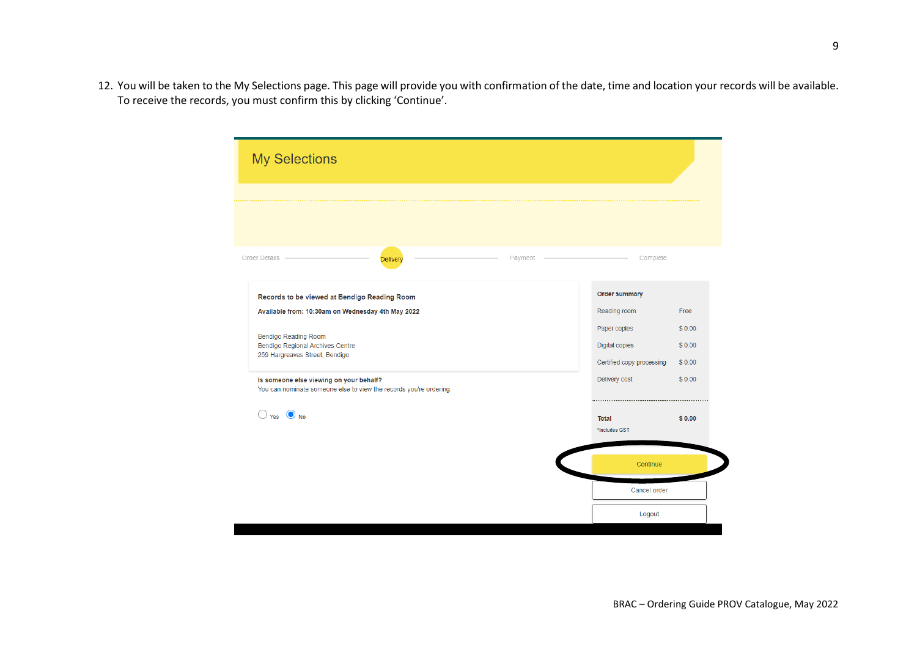12. You will be taken to the My Selections page. This page will provide you with confirmation of the date, time and location your records will be available. To receive the records, you must confirm this by clicking 'Continue'.

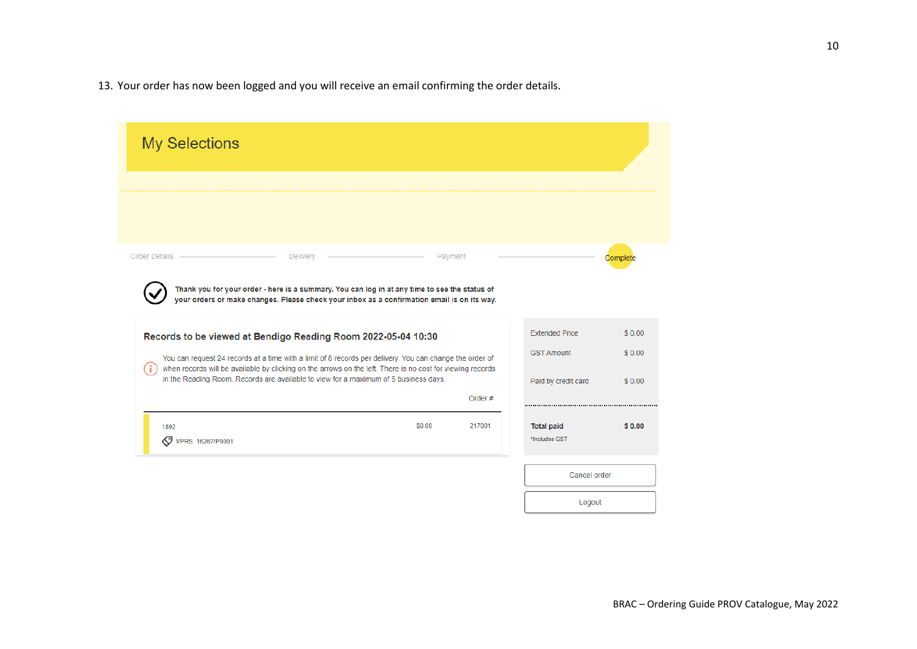13. Your order has now been logged and you will receive an email confirming the order details.

| <b>My Selections</b> |                                                                                                                                                                                                    |         |                                            |                  |
|----------------------|----------------------------------------------------------------------------------------------------------------------------------------------------------------------------------------------------|---------|--------------------------------------------|------------------|
|                      |                                                                                                                                                                                                    |         |                                            |                  |
| Order Details        | Delivery                                                                                                                                                                                           | Payment |                                            | Complete         |
|                      | Thank you for your order - here is a summary. You can log in at any time to see the status of<br>your orders or make changes. Please check your inbox as a confirmation email is on its way.       |         |                                            |                  |
|                      | Records to be viewed at Bendigo Reading Room 2022-05-04 10:30<br>You can request 24 records at a time with a limit of 8 records per delivery. You can change the order of                          |         | <b>Extended Price</b><br><b>GST Amount</b> | \$0.00<br>\$0.00 |
|                      | when records will be available by clicking on the arrows on the left. There is no cost for viewing records<br>in the Reading Room. Records are available to view for a maximum of 5 business days. | Order#  | Paid by credit card                        | \$0.00           |
|                      |                                                                                                                                                                                                    | 217001  |                                            |                  |

Logout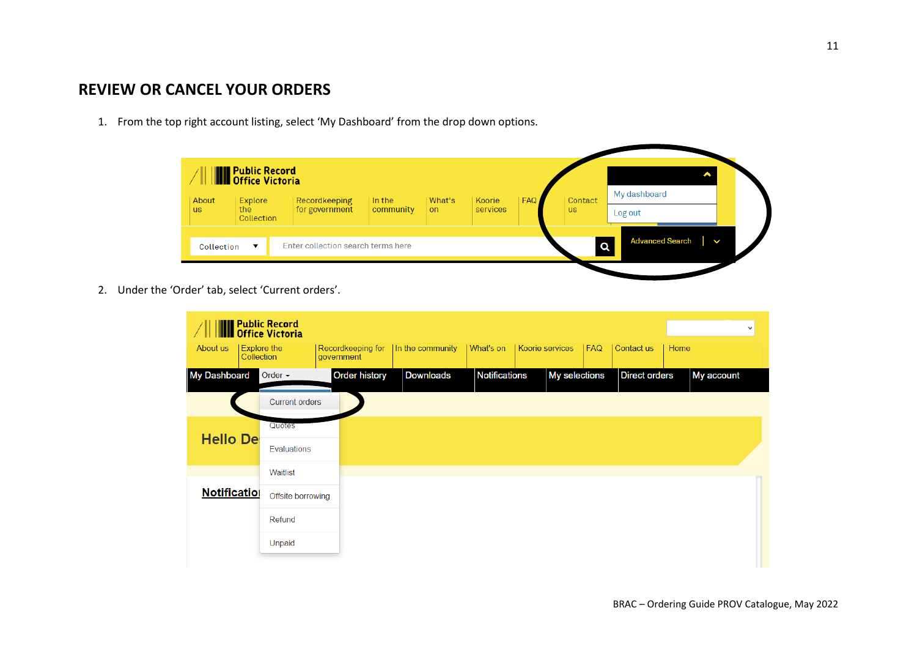## **REVIEW OR CANCEL YOUR ORDERS**

1. From the top right account listing, select 'My Dashboard' from the drop down options.



2. Under the 'Order' tab, select 'Current orders'.

|                     |                                  | <b>THE Public Record</b><br><b>Notice Victoria</b> |                                 |                  |                      |                 |               |                      |      |            | $\checkmark$ |
|---------------------|----------------------------------|----------------------------------------------------|---------------------------------|------------------|----------------------|-----------------|---------------|----------------------|------|------------|--------------|
| About us            | <b>Explore the</b><br>Collection |                                                    | Recordkeeping for<br>government | In the community | What's on            | Koorie services | <b>FAQ</b>    | Contact us           | Home |            |              |
| <b>My Dashboard</b> |                                  | Order $\sim$                                       | <b>Order history</b>            | Downloads        | <b>Notifications</b> |                 | My selections | <b>Direct orders</b> |      | My account |              |
|                     |                                  | <b>Current orders</b>                              |                                 |                  |                      |                 |               |                      |      |            |              |
| <b>Hello De</b>     |                                  | Quotes                                             |                                 |                  |                      |                 |               |                      |      |            |              |
|                     |                                  | Evaluations                                        |                                 |                  |                      |                 |               |                      |      |            |              |
|                     |                                  | Waitlist                                           |                                 |                  |                      |                 |               |                      |      |            |              |
| <b>Notification</b> |                                  | Offsite borrowing                                  |                                 |                  |                      |                 |               |                      |      |            |              |
|                     |                                  | Refund                                             |                                 |                  |                      |                 |               |                      |      |            |              |
|                     |                                  | Unpaid                                             |                                 |                  |                      |                 |               |                      |      |            |              |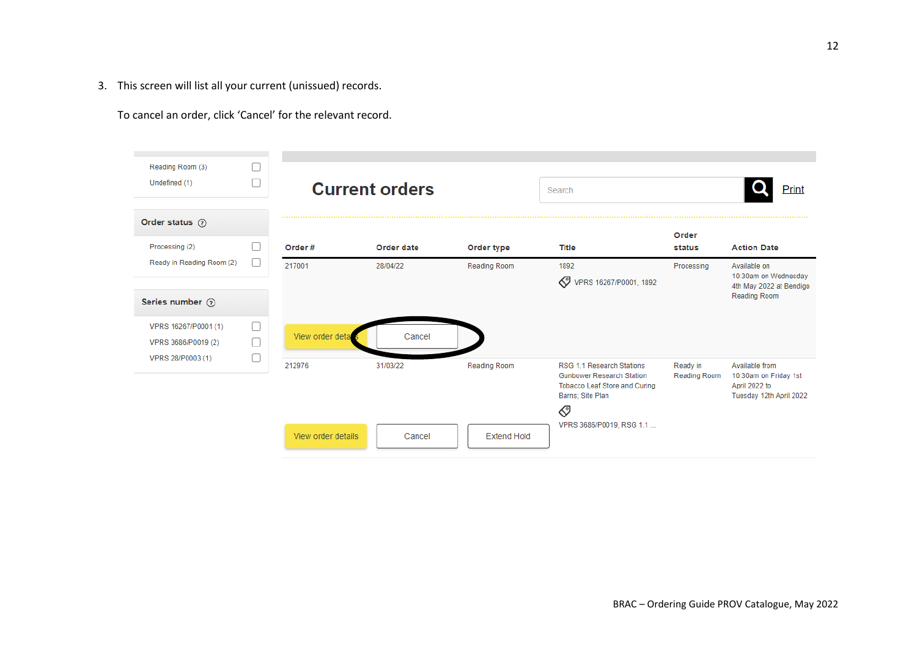3. This screen will list all your current (unissued) records.

To cancel an order, click 'Cancel' for the relevant record.

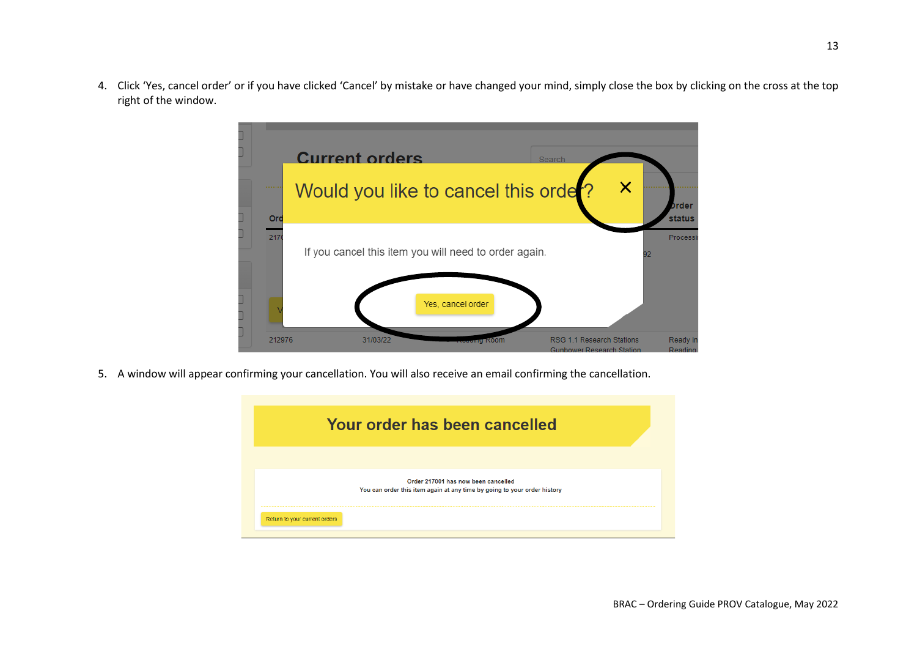4. Click 'Yes, cancel order' or if you have clicked 'Cancel' by mistake or have changed your mind, simply close the box by clicking on the cross at the top right of the window.



5. A window will appear confirming your cancellation. You will also receive an email confirming the cancellation.

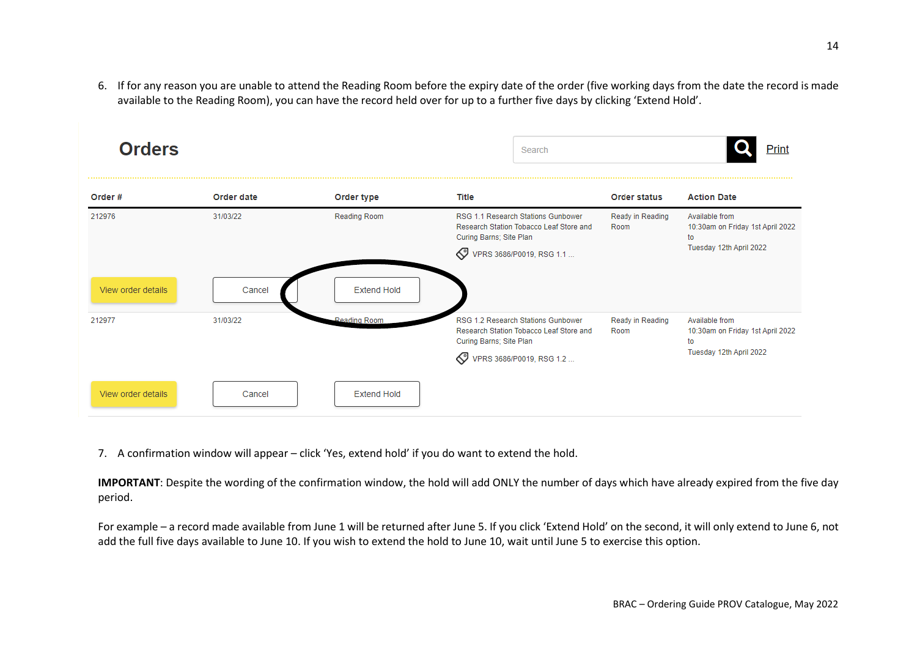6. If for any reason you are unable to attend the Reading Room before the expiry date of the order (five working days from the date the record is made available to the Reading Room), you can have the record held over for up to a further five days by clicking 'Extend Hold'.



7. A confirmation window will appear – click 'Yes, extend hold' if you do want to extend the hold.

**IMPORTANT**: Despite the wording of the confirmation window, the hold will add ONLY the number of days which have already expired from the five day period.

For example – a record made available from June 1 will be returned after June 5. If you click 'Extend Hold' on the second, it will only extend to June 6, not add the full five days available to June 10. If you wish to extend the hold to June 10, wait until June 5 to exercise this option.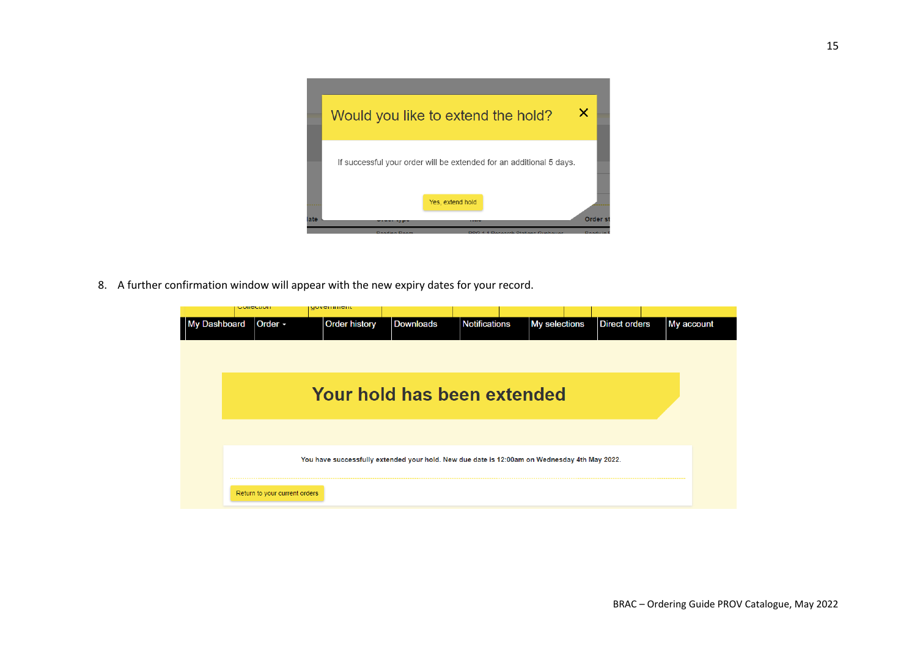

8. A further confirmation window will appear with the new expiry dates for your record.